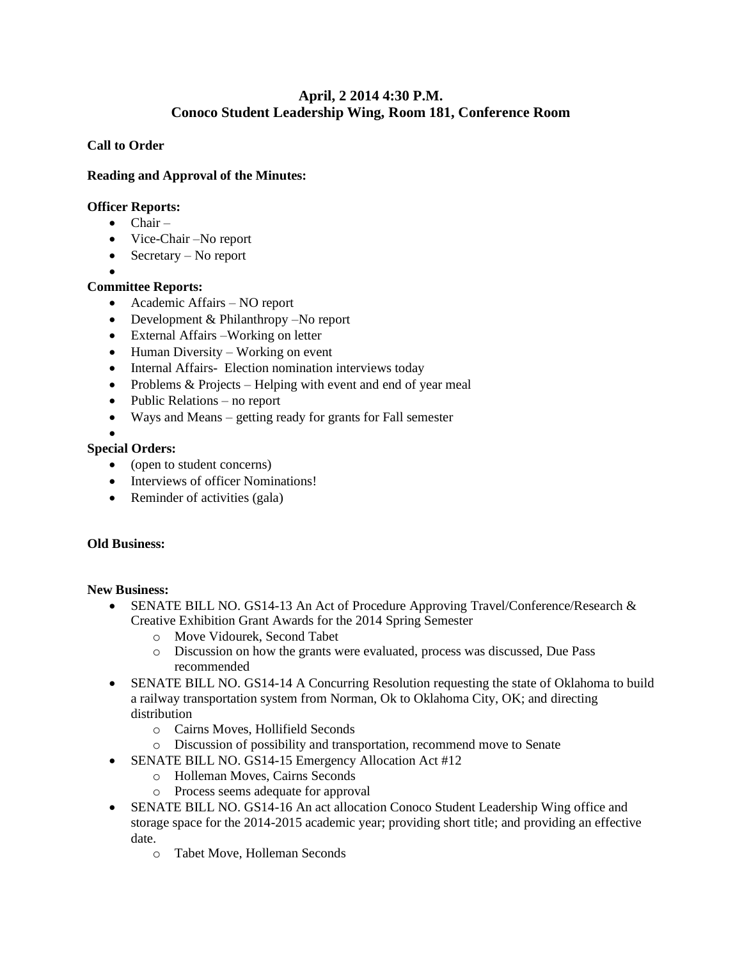# **April, 2 2014 4:30 P.M. Conoco Student Leadership Wing, Room 181, Conference Room**

### **Call to Order**

## **Reading and Approval of the Minutes:**

### **Officer Reports:**

- $\bullet$  Chair –
- Vice-Chair No report
- $\bullet$  Secretary No report
- $\bullet$

## **Committee Reports:**

- Academic Affairs NO report
- Development & Philanthropy –No report
- External Affairs Working on letter
- $\bullet$  Human Diversity Working on event
- Internal Affairs- Election nomination interviews today
- Problems & Projects Helping with event and end of year meal
- Public Relations no report
- Ways and Means getting ready for grants for Fall semester
- $\bullet$

# **Special Orders:**

- (open to student concerns)
- Interviews of officer Nominations!
- Reminder of activities (gala)

### **Old Business:**

### **New Business:**

- SENATE BILL NO. GS14-13 An Act of Procedure Approving Travel/Conference/Research & Creative Exhibition Grant Awards for the 2014 Spring Semester
	- o Move Vidourek, Second Tabet
	- o Discussion on how the grants were evaluated, process was discussed, Due Pass recommended
- SENATE BILL NO. GS14-14 A Concurring Resolution requesting the state of Oklahoma to build a railway transportation system from Norman, Ok to Oklahoma City, OK; and directing distribution
	- o Cairns Moves, Hollifield Seconds
	- o Discussion of possibility and transportation, recommend move to Senate
- SENATE BILL NO. GS14-15 Emergency Allocation Act #12
	- o Holleman Moves, Cairns Seconds
	- o Process seems adequate for approval
- SENATE BILL NO. GS14-16 An act allocation Conoco Student Leadership Wing office and storage space for the 2014-2015 academic year; providing short title; and providing an effective date.
	- o Tabet Move, Holleman Seconds